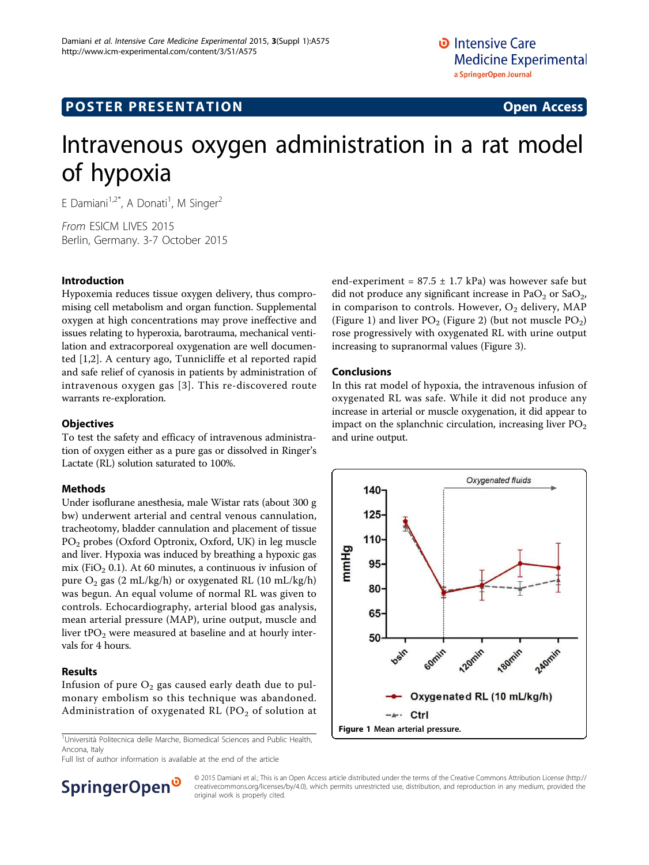# **POSTER PRESENTATION CONSUMING ACCESS**

# Intravenous oxygen administration in a rat model of hypoxia

E Damiani<sup>1,2\*</sup>, A Donati<sup>1</sup>, M Singer<sup>2</sup>

From ESICM LIVES 2015 Berlin, Germany. 3-7 October 2015

## Introduction

Hypoxemia reduces tissue oxygen delivery, thus compromising cell metabolism and organ function. Supplemental oxygen at high concentrations may prove ineffective and issues relating to hyperoxia, barotrauma, mechanical ventilation and extracorporeal oxygenation are well documented [[1,2](#page-1-0)]. A century ago, Tunnicliffe et al reported rapid and safe relief of cyanosis in patients by administration of intravenous oxygen gas [[3](#page-1-0)]. This re-discovered route warrants re-exploration.

## **Objectives**

To test the safety and efficacy of intravenous administration of oxygen either as a pure gas or dissolved in Ringer's Lactate (RL) solution saturated to 100%.

# Methods

Under isoflurane anesthesia, male Wistar rats (about 300 g bw) underwent arterial and central venous cannulation, tracheotomy, bladder cannulation and placement of tissue PO2 probes (Oxford Optronix, Oxford, UK) in leg muscle and liver. Hypoxia was induced by breathing a hypoxic gas mix (FiO<sub>2</sub> 0.1). At 60 minutes, a continuous iv infusion of pure  $O_2$  gas (2 mL/kg/h) or oxygenated RL (10 mL/kg/h) was begun. An equal volume of normal RL was given to controls. Echocardiography, arterial blood gas analysis, mean arterial pressure (MAP), urine output, muscle and liver  $tPO<sub>2</sub>$  were measured at baseline and at hourly intervals for 4 hours.

#### Results

Infusion of pure  $O_2$  gas caused early death due to pulmonary embolism so this technique was abandoned. Administration of oxygenated RL ( $PO<sub>2</sub>$  of solution at

<sup>1</sup>Università Politecnica delle Marche, Biomedical Sciences and Public Health, Ancona, Italy

Full list of author information is available at the end of the article

end-experiment =  $87.5 \pm 1.7$  kPa) was however safe but did not produce any significant increase in PaO<sub>2</sub> or SaO<sub>2</sub>, in comparison to controls. However,  $O_2$  delivery, MAP (Figure 1) and liver  $PO_2$  (Figure [2\)](#page-1-0) (but not muscle  $PO_2$ ) rose progressively with oxygenated RL with urine output increasing to supranormal values (Figure [3\)](#page-1-0).

#### Conclusions

In this rat model of hypoxia, the intravenous infusion of oxygenated RL was safe. While it did not produce any increase in arterial or muscle oxygenation, it did appear to impact on the splanchnic circulation, increasing liver  $PO<sub>2</sub>$ and urine output.





© 2015 Damiani et al.; This is an Open Access article distributed under the terms of the Creative Commons Attribution License [\(http://](http://creativecommons.org/licenses/by/4.0) [creativecommons.org/licenses/by/4.0](http://creativecommons.org/licenses/by/4.0)), which permits unrestricted use, distribution, and reproduction in any medium, provided the original work is properly cited.